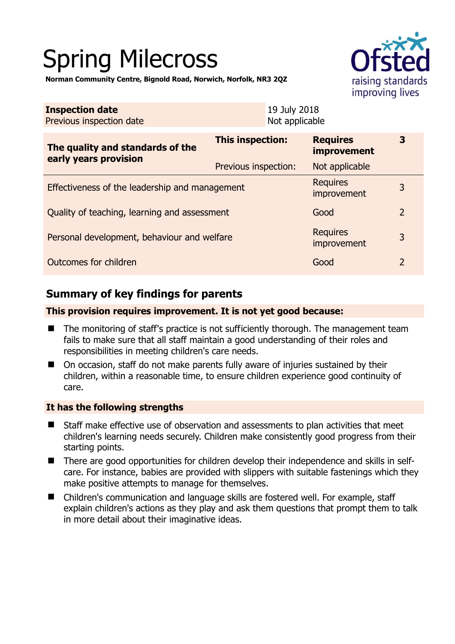# Spring Milecross



**Norman Community Centre, Bignold Road, Norwich, Norfolk, NR3 2QZ** 

| <b>Inspection date</b><br>Previous inspection date | 19 July 2018<br>Not applicable |                                       |                |
|----------------------------------------------------|--------------------------------|---------------------------------------|----------------|
| The quality and standards of the                   | This inspection:               | <b>Requires</b><br><b>improvement</b> | 3              |
| early years provision                              | Previous inspection:           | Not applicable                        |                |
| Effectiveness of the leadership and management     | <b>Requires</b><br>improvement | 3                                     |                |
| Quality of teaching, learning and assessment       | Good                           | $\overline{2}$                        |                |
| Personal development, behaviour and welfare        |                                | <b>Requires</b><br>improvement        | 3              |
| Outcomes for children                              |                                | Good                                  | $\overline{2}$ |

# **Summary of key findings for parents**

**This provision requires improvement. It is not yet good because:** 

- The monitoring of staff's practice is not sufficiently thorough. The management team fails to make sure that all staff maintain a good understanding of their roles and responsibilities in meeting children's care needs.
- On occasion, staff do not make parents fully aware of injuries sustained by their children, within a reasonable time, to ensure children experience good continuity of care.

## **It has the following strengths**

- Staff make effective use of observation and assessments to plan activities that meet children's learning needs securely. Children make consistently good progress from their starting points.
- There are good opportunities for children develop their independence and skills in selfcare. For instance, babies are provided with slippers with suitable fastenings which they make positive attempts to manage for themselves.
- Children's communication and language skills are fostered well. For example, staff explain children's actions as they play and ask them questions that prompt them to talk in more detail about their imaginative ideas.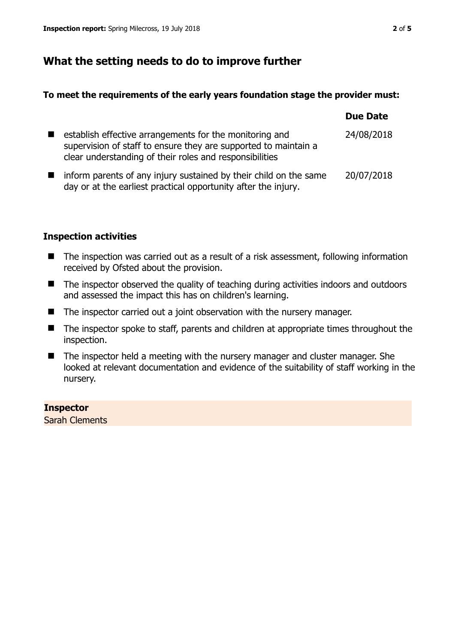# **What the setting needs to do to improve further**

## **To meet the requirements of the early years foundation stage the provider must:**

|                |                                                                                                                                                                                       | <b>Due Date</b> |
|----------------|---------------------------------------------------------------------------------------------------------------------------------------------------------------------------------------|-----------------|
| $\blacksquare$ | establish effective arrangements for the monitoring and<br>supervision of staff to ensure they are supported to maintain a<br>clear understanding of their roles and responsibilities | 24/08/2018      |
|                | inform parents of any injury sustained by their child on the same<br>day or at the earliest practical opportunity after the injury.                                                   | 20/07/2018      |

## **Inspection activities**

- The inspection was carried out as a result of a risk assessment, following information received by Ofsted about the provision.
- The inspector observed the quality of teaching during activities indoors and outdoors and assessed the impact this has on children's learning.
- The inspector carried out a joint observation with the nursery manager.
- The inspector spoke to staff, parents and children at appropriate times throughout the inspection.
- The inspector held a meeting with the nursery manager and cluster manager. She looked at relevant documentation and evidence of the suitability of staff working in the nursery.

## **Inspector**

Sarah Clements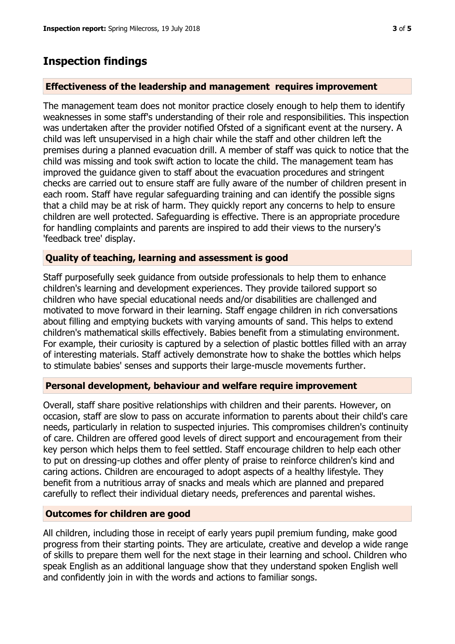## **Inspection findings**

#### **Effectiveness of the leadership and management requires improvement**

The management team does not monitor practice closely enough to help them to identify weaknesses in some staff's understanding of their role and responsibilities. This inspection was undertaken after the provider notified Ofsted of a significant event at the nursery. A child was left unsupervised in a high chair while the staff and other children left the premises during a planned evacuation drill. A member of staff was quick to notice that the child was missing and took swift action to locate the child. The management team has improved the guidance given to staff about the evacuation procedures and stringent checks are carried out to ensure staff are fully aware of the number of children present in each room. Staff have regular safeguarding training and can identify the possible signs that a child may be at risk of harm. They quickly report any concerns to help to ensure children are well protected. Safeguarding is effective. There is an appropriate procedure for handling complaints and parents are inspired to add their views to the nursery's 'feedback tree' display.

#### **Quality of teaching, learning and assessment is good**

Staff purposefully seek guidance from outside professionals to help them to enhance children's learning and development experiences. They provide tailored support so children who have special educational needs and/or disabilities are challenged and motivated to move forward in their learning. Staff engage children in rich conversations about filling and emptying buckets with varying amounts of sand. This helps to extend children's mathematical skills effectively. Babies benefit from a stimulating environment. For example, their curiosity is captured by a selection of plastic bottles filled with an array of interesting materials. Staff actively demonstrate how to shake the bottles which helps to stimulate babies' senses and supports their large-muscle movements further.

#### **Personal development, behaviour and welfare require improvement**

Overall, staff share positive relationships with children and their parents. However, on occasion, staff are slow to pass on accurate information to parents about their child's care needs, particularly in relation to suspected injuries. This compromises children's continuity of care. Children are offered good levels of direct support and encouragement from their key person which helps them to feel settled. Staff encourage children to help each other to put on dressing-up clothes and offer plenty of praise to reinforce children's kind and caring actions. Children are encouraged to adopt aspects of a healthy lifestyle. They benefit from a nutritious array of snacks and meals which are planned and prepared carefully to reflect their individual dietary needs, preferences and parental wishes.

#### **Outcomes for children are good**

All children, including those in receipt of early years pupil premium funding, make good progress from their starting points. They are articulate, creative and develop a wide range of skills to prepare them well for the next stage in their learning and school. Children who speak English as an additional language show that they understand spoken English well and confidently join in with the words and actions to familiar songs.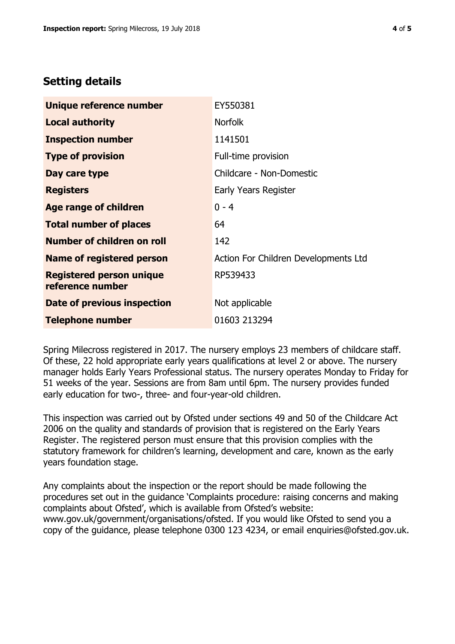# **Setting details**

| Unique reference number                             | EY550381                             |
|-----------------------------------------------------|--------------------------------------|
| <b>Local authority</b>                              | <b>Norfolk</b>                       |
| <b>Inspection number</b>                            | 1141501                              |
| <b>Type of provision</b>                            | Full-time provision                  |
| Day care type                                       | Childcare - Non-Domestic             |
| <b>Registers</b>                                    | Early Years Register                 |
| <b>Age range of children</b>                        | $0 - 4$                              |
| <b>Total number of places</b>                       | 64                                   |
| Number of children on roll                          | 142                                  |
| Name of registered person                           | Action For Children Developments Ltd |
| <b>Registered person unique</b><br>reference number | RP539433                             |
| Date of previous inspection                         | Not applicable                       |
| <b>Telephone number</b>                             | 01603 213294                         |

Spring Milecross registered in 2017. The nursery employs 23 members of childcare staff. Of these, 22 hold appropriate early years qualifications at level 2 or above. The nursery manager holds Early Years Professional status. The nursery operates Monday to Friday for 51 weeks of the year. Sessions are from 8am until 6pm. The nursery provides funded early education for two-, three- and four-year-old children.

This inspection was carried out by Ofsted under sections 49 and 50 of the Childcare Act 2006 on the quality and standards of provision that is registered on the Early Years Register. The registered person must ensure that this provision complies with the statutory framework for children's learning, development and care, known as the early years foundation stage.

Any complaints about the inspection or the report should be made following the procedures set out in the guidance 'Complaints procedure: raising concerns and making complaints about Ofsted', which is available from Ofsted's website: www.gov.uk/government/organisations/ofsted. If you would like Ofsted to send you a copy of the guidance, please telephone 0300 123 4234, or email enquiries@ofsted.gov.uk.